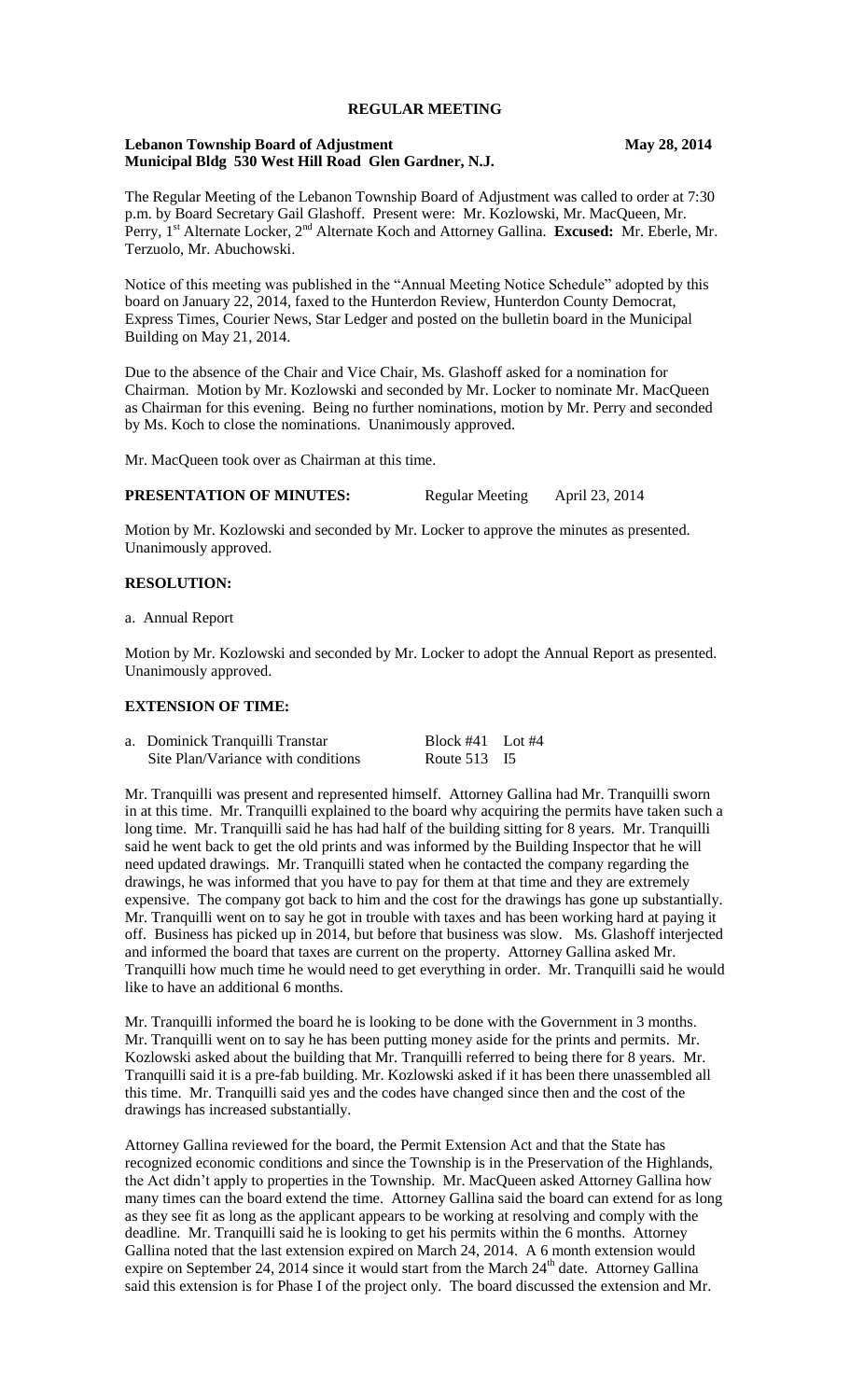## **REGULAR MEETING**

#### **Lebanon Township Board of Adjustment May 28, 2014 Municipal Bldg 530 West Hill Road Glen Gardner, N.J.**

The Regular Meeting of the Lebanon Township Board of Adjustment was called to order at 7:30 p.m. by Board Secretary Gail Glashoff. Present were: Mr. Kozlowski, Mr. MacQueen, Mr. Perry, 1st Alternate Locker, 2nd Alternate Koch and Attorney Gallina. **Excused:** Mr. Eberle, Mr. Terzuolo, Mr. Abuchowski.

Notice of this meeting was published in the "Annual Meeting Notice Schedule" adopted by this board on January 22, 2014, faxed to the Hunterdon Review, Hunterdon County Democrat, Express Times, Courier News, Star Ledger and posted on the bulletin board in the Municipal Building on May 21, 2014.

Due to the absence of the Chair and Vice Chair, Ms. Glashoff asked for a nomination for Chairman. Motion by Mr. Kozlowski and seconded by Mr. Locker to nominate Mr. MacQueen as Chairman for this evening. Being no further nominations, motion by Mr. Perry and seconded by Ms. Koch to close the nominations. Unanimously approved.

Mr. MacQueen took over as Chairman at this time.

#### **PRESENTATION OF MINUTES:** Regular Meeting April 23, 2014

Motion by Mr. Kozlowski and seconded by Mr. Locker to approve the minutes as presented. Unanimously approved.

#### **RESOLUTION:**

a. Annual Report

Motion by Mr. Kozlowski and seconded by Mr. Locker to adopt the Annual Report as presented. Unanimously approved.

## **EXTENSION OF TIME:**

| a. Dominick Tranquilli Transtar    | Block $#41$ Lot $#4$ |  |
|------------------------------------|----------------------|--|
| Site Plan/Variance with conditions | Route 513 I5         |  |

Mr. Tranquilli was present and represented himself. Attorney Gallina had Mr. Tranquilli sworn in at this time. Mr. Tranquilli explained to the board why acquiring the permits have taken such a long time. Mr. Tranquilli said he has had half of the building sitting for 8 years. Mr. Tranquilli said he went back to get the old prints and was informed by the Building Inspector that he will need updated drawings. Mr. Tranquilli stated when he contacted the company regarding the drawings, he was informed that you have to pay for them at that time and they are extremely expensive. The company got back to him and the cost for the drawings has gone up substantially. Mr. Tranquilli went on to say he got in trouble with taxes and has been working hard at paying it off. Business has picked up in 2014, but before that business was slow. Ms. Glashoff interjected and informed the board that taxes are current on the property. Attorney Gallina asked Mr. Tranquilli how much time he would need to get everything in order. Mr. Tranquilli said he would like to have an additional 6 months.

Mr. Tranquilli informed the board he is looking to be done with the Government in 3 months. Mr. Tranquilli went on to say he has been putting money aside for the prints and permits. Mr. Kozlowski asked about the building that Mr. Tranquilli referred to being there for 8 years. Mr. Tranquilli said it is a pre-fab building. Mr. Kozlowski asked if it has been there unassembled all this time. Mr. Tranquilli said yes and the codes have changed since then and the cost of the drawings has increased substantially.

Attorney Gallina reviewed for the board, the Permit Extension Act and that the State has recognized economic conditions and since the Township is in the Preservation of the Highlands, the Act didn't apply to properties in the Township. Mr. MacQueen asked Attorney Gallina how many times can the board extend the time. Attorney Gallina said the board can extend for as long as they see fit as long as the applicant appears to be working at resolving and comply with the deadline. Mr. Tranquilli said he is looking to get his permits within the 6 months. Attorney Gallina noted that the last extension expired on March 24, 2014. A 6 month extension would expire on September 24, 2014 since it would start from the March  $24<sup>th</sup>$  date. Attorney Gallina said this extension is for Phase I of the project only. The board discussed the extension and Mr.